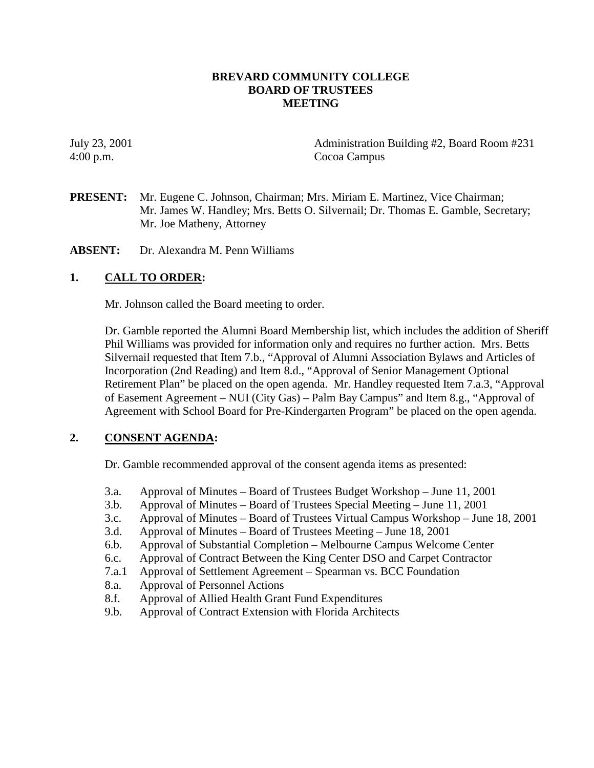## **BREVARD COMMUNITY COLLEGE BOARD OF TRUSTEES MEETING**

July 23, 2001 Administration Building #2, Board Room #231 4:00 p.m. Cocoa Campus

**PRESENT:** Mr. Eugene C. Johnson, Chairman; Mrs. Miriam E. Martinez, Vice Chairman; Mr. James W. Handley; Mrs. Betts O. Silvernail; Dr. Thomas E. Gamble, Secretary; Mr. Joe Matheny, Attorney

**ABSENT:** Dr. Alexandra M. Penn Williams

## **1. CALL TO ORDER:**

Mr. Johnson called the Board meeting to order.

Dr. Gamble reported the Alumni Board Membership list, which includes the addition of Sheriff Phil Williams was provided for information only and requires no further action. Mrs. Betts Silvernail requested that Item 7.b., "Approval of Alumni Association Bylaws and Articles of Incorporation (2nd Reading) and Item 8.d., "Approval of Senior Management Optional Retirement Plan" be placed on the open agenda. Mr. Handley requested Item 7.a.3, "Approval of Easement Agreement – NUI (City Gas) – Palm Bay Campus" and Item 8.g., "Approval of Agreement with School Board for Pre-Kindergarten Program" be placed on the open agenda.

#### **2. CONSENT AGENDA:**

Dr. Gamble recommended approval of the consent agenda items as presented:

- 3.a. Approval of Minutes Board of Trustees Budget Workshop June 11, 2001
- 3.b. Approval of Minutes Board of Trustees Special Meeting June 11, 2001
- 3.c. Approval of Minutes Board of Trustees Virtual Campus Workshop June 18, 2001
- 3.d. Approval of Minutes Board of Trustees Meeting June 18, 2001
- 6.b. Approval of Substantial Completion Melbourne Campus Welcome Center
- 6.c. Approval of Contract Between the King Center DSO and Carpet Contractor
- 7.a.1 Approval of Settlement Agreement Spearman vs. BCC Foundation
- 8.a. Approval of Personnel Actions
- 8.f. Approval of Allied Health Grant Fund Expenditures
- 9.b. Approval of Contract Extension with Florida Architects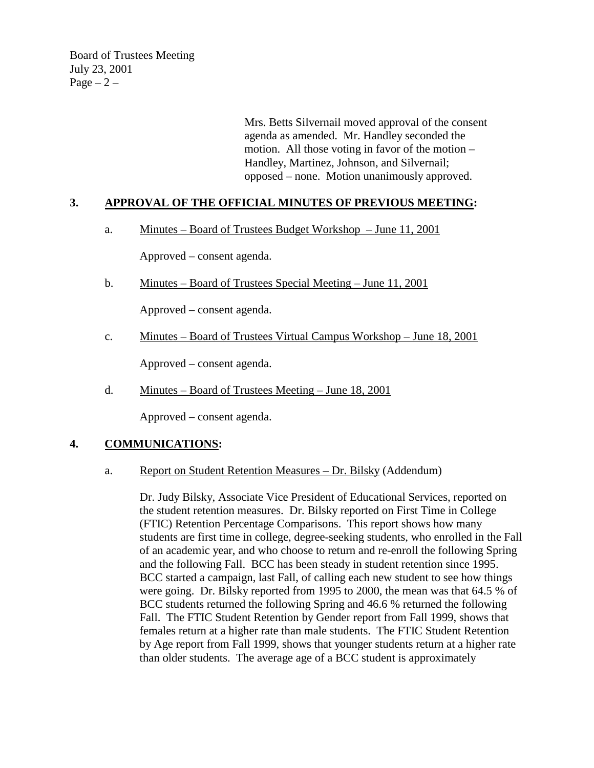Board of Trustees Meeting July 23, 2001 Page  $-2$  –

> Mrs. Betts Silvernail moved approval of the consent agenda as amended. Mr. Handley seconded the motion. All those voting in favor of the motion – Handley, Martinez, Johnson, and Silvernail; opposed – none. Motion unanimously approved.

## **3. APPROVAL OF THE OFFICIAL MINUTES OF PREVIOUS MEETING:**

a. Minutes – Board of Trustees Budget Workshop – June 11, 2001

Approved – consent agenda.

b. Minutes – Board of Trustees Special Meeting – June 11, 2001

Approved – consent agenda.

c. Minutes – Board of Trustees Virtual Campus Workshop – June 18, 2001

Approved – consent agenda.

d. Minutes – Board of Trustees Meeting – June 18, 2001

Approved – consent agenda.

#### **4. COMMUNICATIONS:**

#### a. Report on Student Retention Measures – Dr. Bilsky (Addendum)

Dr. Judy Bilsky, Associate Vice President of Educational Services, reported on the student retention measures. Dr. Bilsky reported on First Time in College (FTIC) Retention Percentage Comparisons. This report shows how many students are first time in college, degree-seeking students, who enrolled in the Fall of an academic year, and who choose to return and re-enroll the following Spring and the following Fall. BCC has been steady in student retention since 1995. BCC started a campaign, last Fall, of calling each new student to see how things were going. Dr. Bilsky reported from 1995 to 2000, the mean was that 64.5 % of BCC students returned the following Spring and 46.6 % returned the following Fall. The FTIC Student Retention by Gender report from Fall 1999, shows that females return at a higher rate than male students. The FTIC Student Retention by Age report from Fall 1999, shows that younger students return at a higher rate than older students. The average age of a BCC student is approximately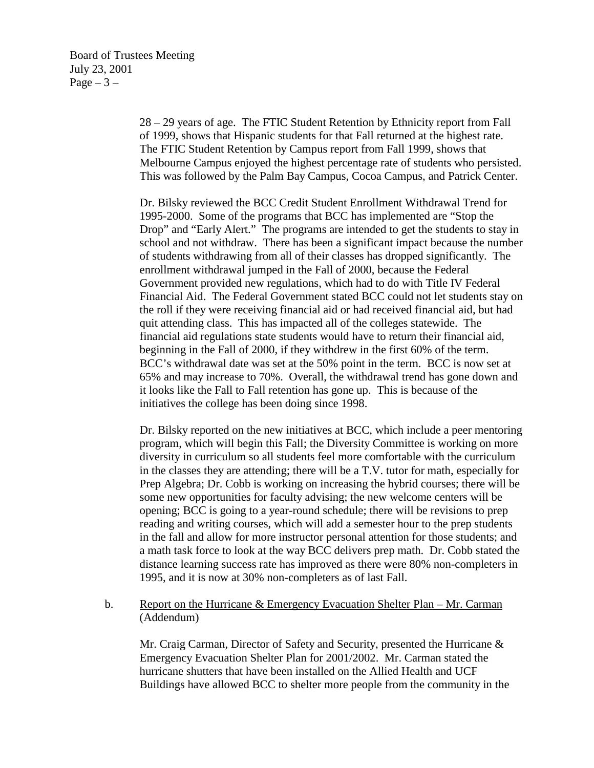28 – 29 years of age. The FTIC Student Retention by Ethnicity report from Fall of 1999, shows that Hispanic students for that Fall returned at the highest rate. The FTIC Student Retention by Campus report from Fall 1999, shows that Melbourne Campus enjoyed the highest percentage rate of students who persisted. This was followed by the Palm Bay Campus, Cocoa Campus, and Patrick Center.

Dr. Bilsky reviewed the BCC Credit Student Enrollment Withdrawal Trend for 1995-2000. Some of the programs that BCC has implemented are "Stop the Drop" and "Early Alert." The programs are intended to get the students to stay in school and not withdraw. There has been a significant impact because the number of students withdrawing from all of their classes has dropped significantly. The enrollment withdrawal jumped in the Fall of 2000, because the Federal Government provided new regulations, which had to do with Title IV Federal Financial Aid. The Federal Government stated BCC could not let students stay on the roll if they were receiving financial aid or had received financial aid, but had quit attending class. This has impacted all of the colleges statewide. The financial aid regulations state students would have to return their financial aid, beginning in the Fall of 2000, if they withdrew in the first 60% of the term. BCC's withdrawal date was set at the 50% point in the term. BCC is now set at 65% and may increase to 70%. Overall, the withdrawal trend has gone down and it looks like the Fall to Fall retention has gone up. This is because of the initiatives the college has been doing since 1998.

Dr. Bilsky reported on the new initiatives at BCC, which include a peer mentoring program, which will begin this Fall; the Diversity Committee is working on more diversity in curriculum so all students feel more comfortable with the curriculum in the classes they are attending; there will be a T.V. tutor for math, especially for Prep Algebra; Dr. Cobb is working on increasing the hybrid courses; there will be some new opportunities for faculty advising; the new welcome centers will be opening; BCC is going to a year-round schedule; there will be revisions to prep reading and writing courses, which will add a semester hour to the prep students in the fall and allow for more instructor personal attention for those students; and a math task force to look at the way BCC delivers prep math. Dr. Cobb stated the distance learning success rate has improved as there were 80% non-completers in 1995, and it is now at 30% non-completers as of last Fall.

#### b. Report on the Hurricane & Emergency Evacuation Shelter Plan – Mr. Carman (Addendum)

Mr. Craig Carman, Director of Safety and Security, presented the Hurricane & Emergency Evacuation Shelter Plan for 2001/2002. Mr. Carman stated the hurricane shutters that have been installed on the Allied Health and UCF Buildings have allowed BCC to shelter more people from the community in the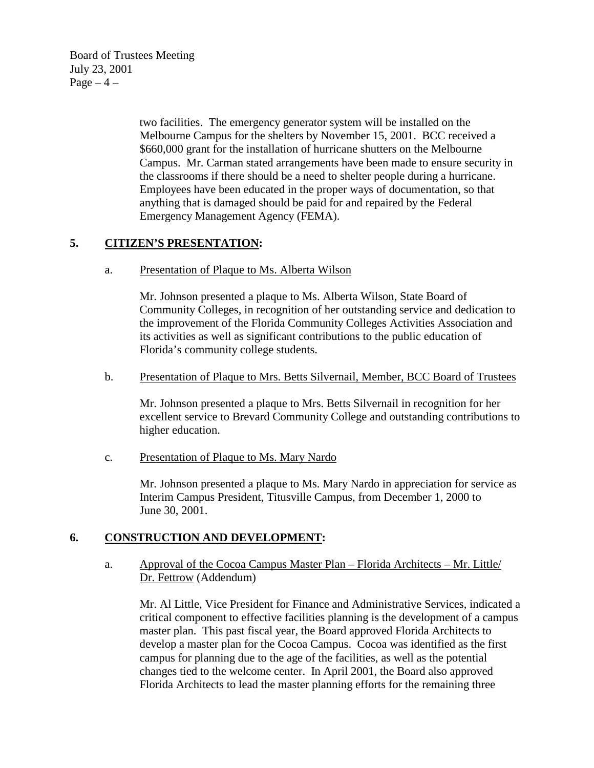Board of Trustees Meeting July 23, 2001 Page  $-4$  –

> two facilities. The emergency generator system will be installed on the Melbourne Campus for the shelters by November 15, 2001. BCC received a \$660,000 grant for the installation of hurricane shutters on the Melbourne Campus. Mr. Carman stated arrangements have been made to ensure security in the classrooms if there should be a need to shelter people during a hurricane. Employees have been educated in the proper ways of documentation, so that anything that is damaged should be paid for and repaired by the Federal Emergency Management Agency (FEMA).

## **5. CITIZEN'S PRESENTATION:**

a. Presentation of Plaque to Ms. Alberta Wilson

Mr. Johnson presented a plaque to Ms. Alberta Wilson, State Board of Community Colleges, in recognition of her outstanding service and dedication to the improvement of the Florida Community Colleges Activities Association and its activities as well as significant contributions to the public education of Florida's community college students.

b. Presentation of Plaque to Mrs. Betts Silvernail, Member, BCC Board of Trustees

Mr. Johnson presented a plaque to Mrs. Betts Silvernail in recognition for her excellent service to Brevard Community College and outstanding contributions to higher education.

c. Presentation of Plaque to Ms. Mary Nardo

Mr. Johnson presented a plaque to Ms. Mary Nardo in appreciation for service as Interim Campus President, Titusville Campus, from December 1, 2000 to June 30, 2001.

#### **6. CONSTRUCTION AND DEVELOPMENT:**

a. Approval of the Cocoa Campus Master Plan – Florida Architects – Mr. Little/ Dr. Fettrow (Addendum)

Mr. Al Little, Vice President for Finance and Administrative Services, indicated a critical component to effective facilities planning is the development of a campus master plan. This past fiscal year, the Board approved Florida Architects to develop a master plan for the Cocoa Campus. Cocoa was identified as the first campus for planning due to the age of the facilities, as well as the potential changes tied to the welcome center. In April 2001, the Board also approved Florida Architects to lead the master planning efforts for the remaining three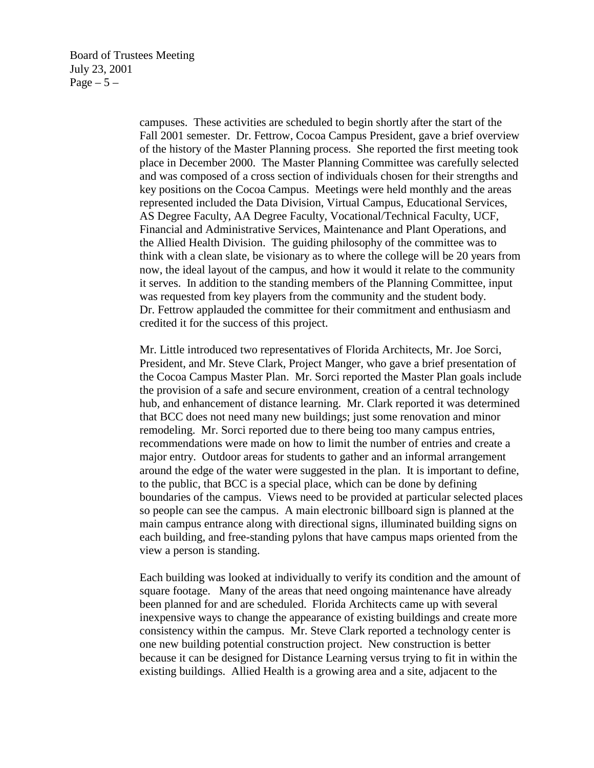campuses. These activities are scheduled to begin shortly after the start of the Fall 2001 semester. Dr. Fettrow, Cocoa Campus President, gave a brief overview of the history of the Master Planning process. She reported the first meeting took place in December 2000. The Master Planning Committee was carefully selected and was composed of a cross section of individuals chosen for their strengths and key positions on the Cocoa Campus. Meetings were held monthly and the areas represented included the Data Division, Virtual Campus, Educational Services, AS Degree Faculty, AA Degree Faculty, Vocational/Technical Faculty, UCF, Financial and Administrative Services, Maintenance and Plant Operations, and the Allied Health Division. The guiding philosophy of the committee was to think with a clean slate, be visionary as to where the college will be 20 years from now, the ideal layout of the campus, and how it would it relate to the community it serves. In addition to the standing members of the Planning Committee, input was requested from key players from the community and the student body. Dr. Fettrow applauded the committee for their commitment and enthusiasm and credited it for the success of this project.

Mr. Little introduced two representatives of Florida Architects, Mr. Joe Sorci, President, and Mr. Steve Clark, Project Manger, who gave a brief presentation of the Cocoa Campus Master Plan. Mr. Sorci reported the Master Plan goals include the provision of a safe and secure environment, creation of a central technology hub, and enhancement of distance learning. Mr. Clark reported it was determined that BCC does not need many new buildings; just some renovation and minor remodeling. Mr. Sorci reported due to there being too many campus entries, recommendations were made on how to limit the number of entries and create a major entry. Outdoor areas for students to gather and an informal arrangement around the edge of the water were suggested in the plan. It is important to define, to the public, that BCC is a special place, which can be done by defining boundaries of the campus. Views need to be provided at particular selected places so people can see the campus. A main electronic billboard sign is planned at the main campus entrance along with directional signs, illuminated building signs on each building, and free-standing pylons that have campus maps oriented from the view a person is standing.

Each building was looked at individually to verify its condition and the amount of square footage. Many of the areas that need ongoing maintenance have already been planned for and are scheduled. Florida Architects came up with several inexpensive ways to change the appearance of existing buildings and create more consistency within the campus. Mr. Steve Clark reported a technology center is one new building potential construction project. New construction is better because it can be designed for Distance Learning versus trying to fit in within the existing buildings. Allied Health is a growing area and a site, adjacent to the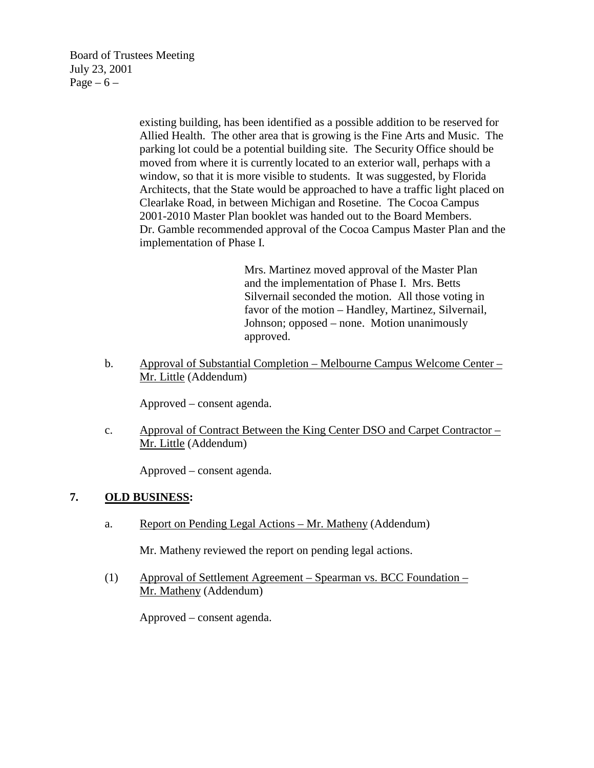Board of Trustees Meeting July 23, 2001 Page –  $6 -$ 

> existing building, has been identified as a possible addition to be reserved for Allied Health. The other area that is growing is the Fine Arts and Music. The parking lot could be a potential building site. The Security Office should be moved from where it is currently located to an exterior wall, perhaps with a window, so that it is more visible to students. It was suggested, by Florida Architects, that the State would be approached to have a traffic light placed on Clearlake Road, in between Michigan and Rosetine. The Cocoa Campus 2001-2010 Master Plan booklet was handed out to the Board Members. Dr. Gamble recommended approval of the Cocoa Campus Master Plan and the implementation of Phase I.

> > Mrs. Martinez moved approval of the Master Plan and the implementation of Phase I. Mrs. Betts Silvernail seconded the motion. All those voting in favor of the motion – Handley, Martinez, Silvernail, Johnson; opposed – none. Motion unanimously approved.

b. Approval of Substantial Completion – Melbourne Campus Welcome Center – Mr. Little (Addendum)

Approved – consent agenda.

c. Approval of Contract Between the King Center DSO and Carpet Contractor – Mr. Little (Addendum)

Approved – consent agenda.

#### **7. OLD BUSINESS:**

a. Report on Pending Legal Actions – Mr. Matheny (Addendum)

Mr. Matheny reviewed the report on pending legal actions.

(1) Approval of Settlement Agreement – Spearman vs. BCC Foundation – Mr. Matheny (Addendum)

Approved – consent agenda.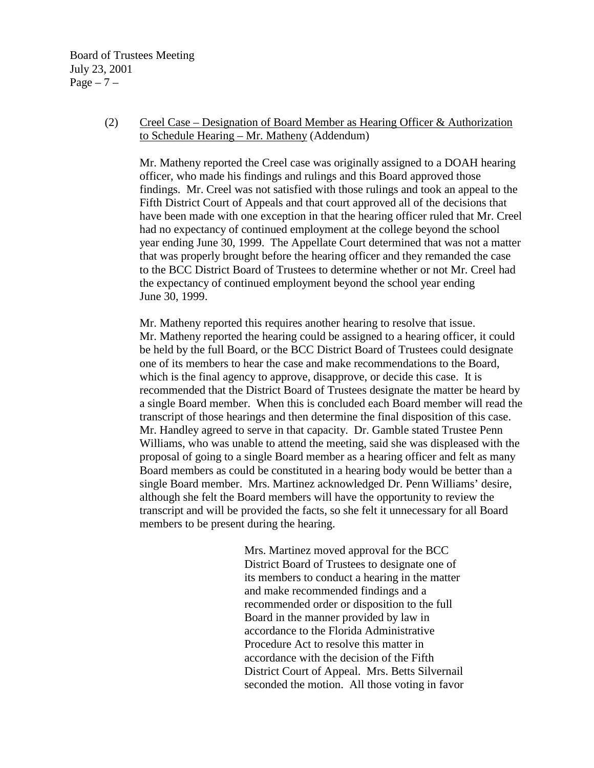Board of Trustees Meeting July 23, 2001  $Page - 7 -$ 

#### (2) Creel Case – Designation of Board Member as Hearing Officer & Authorization to Schedule Hearing – Mr. Matheny (Addendum)

Mr. Matheny reported the Creel case was originally assigned to a DOAH hearing officer, who made his findings and rulings and this Board approved those findings. Mr. Creel was not satisfied with those rulings and took an appeal to the Fifth District Court of Appeals and that court approved all of the decisions that have been made with one exception in that the hearing officer ruled that Mr. Creel had no expectancy of continued employment at the college beyond the school year ending June 30, 1999. The Appellate Court determined that was not a matter that was properly brought before the hearing officer and they remanded the case to the BCC District Board of Trustees to determine whether or not Mr. Creel had the expectancy of continued employment beyond the school year ending June 30, 1999.

Mr. Matheny reported this requires another hearing to resolve that issue. Mr. Matheny reported the hearing could be assigned to a hearing officer, it could be held by the full Board, or the BCC District Board of Trustees could designate one of its members to hear the case and make recommendations to the Board, which is the final agency to approve, disapprove, or decide this case. It is recommended that the District Board of Trustees designate the matter be heard by a single Board member. When this is concluded each Board member will read the transcript of those hearings and then determine the final disposition of this case. Mr. Handley agreed to serve in that capacity. Dr. Gamble stated Trustee Penn Williams, who was unable to attend the meeting, said she was displeased with the proposal of going to a single Board member as a hearing officer and felt as many Board members as could be constituted in a hearing body would be better than a single Board member. Mrs. Martinez acknowledged Dr. Penn Williams' desire, although she felt the Board members will have the opportunity to review the transcript and will be provided the facts, so she felt it unnecessary for all Board members to be present during the hearing.

> Mrs. Martinez moved approval for the BCC District Board of Trustees to designate one of its members to conduct a hearing in the matter and make recommended findings and a recommended order or disposition to the full Board in the manner provided by law in accordance to the Florida Administrative Procedure Act to resolve this matter in accordance with the decision of the Fifth District Court of Appeal. Mrs. Betts Silvernail seconded the motion. All those voting in favor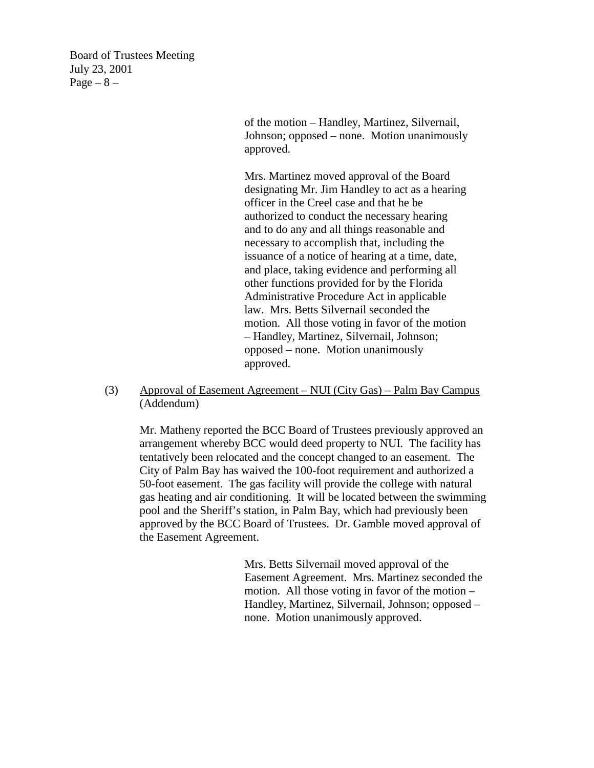Board of Trustees Meeting July 23, 2001 Page  $-8$  –

> of the motion – Handley, Martinez, Silvernail, Johnson; opposed – none. Motion unanimously approved.

> Mrs. Martinez moved approval of the Board designating Mr. Jim Handley to act as a hearing officer in the Creel case and that he be authorized to conduct the necessary hearing and to do any and all things reasonable and necessary to accomplish that, including the issuance of a notice of hearing at a time, date, and place, taking evidence and performing all other functions provided for by the Florida Administrative Procedure Act in applicable law. Mrs. Betts Silvernail seconded the motion. All those voting in favor of the motion – Handley, Martinez, Silvernail, Johnson; opposed – none. Motion unanimously approved.

(3) Approval of Easement Agreement – NUI (City Gas) – Palm Bay Campus (Addendum)

Mr. Matheny reported the BCC Board of Trustees previously approved an arrangement whereby BCC would deed property to NUI. The facility has tentatively been relocated and the concept changed to an easement. The City of Palm Bay has waived the 100-foot requirement and authorized a 50-foot easement. The gas facility will provide the college with natural gas heating and air conditioning. It will be located between the swimming pool and the Sheriff's station, in Palm Bay, which had previously been approved by the BCC Board of Trustees. Dr. Gamble moved approval of the Easement Agreement.

> Mrs. Betts Silvernail moved approval of the Easement Agreement. Mrs. Martinez seconded the motion. All those voting in favor of the motion – Handley, Martinez, Silvernail, Johnson; opposed – none. Motion unanimously approved.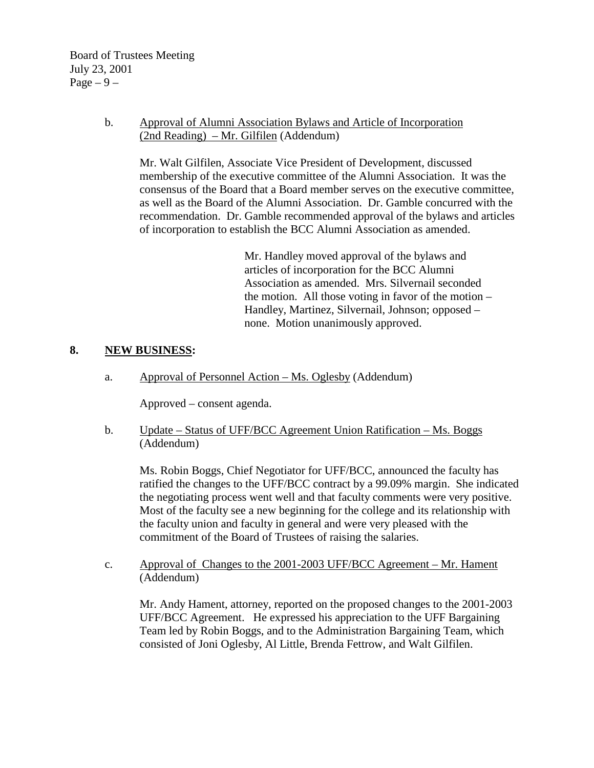Board of Trustees Meeting July 23, 2001 Page  $-9-$ 

### b. Approval of Alumni Association Bylaws and Article of Incorporation (2nd Reading) – Mr. Gilfilen (Addendum)

 Mr. Walt Gilfilen, Associate Vice President of Development, discussed membership of the executive committee of the Alumni Association. It was the consensus of the Board that a Board member serves on the executive committee, as well as the Board of the Alumni Association. Dr. Gamble concurred with the recommendation. Dr. Gamble recommended approval of the bylaws and articles of incorporation to establish the BCC Alumni Association as amended.

> Mr. Handley moved approval of the bylaws and articles of incorporation for the BCC Alumni Association as amended. Mrs. Silvernail seconded the motion. All those voting in favor of the motion – Handley, Martinez, Silvernail, Johnson; opposed – none. Motion unanimously approved.

## **8. NEW BUSINESS:**

a. Approval of Personnel Action – Ms. Oglesby (Addendum)

Approved – consent agenda.

b. Update – Status of UFF/BCC Agreement Union Ratification – Ms. Boggs (Addendum)

 Ms. Robin Boggs, Chief Negotiator for UFF/BCC, announced the faculty has ratified the changes to the UFF/BCC contract by a 99.09% margin. She indicated the negotiating process went well and that faculty comments were very positive. Most of the faculty see a new beginning for the college and its relationship with the faculty union and faculty in general and were very pleased with the commitment of the Board of Trustees of raising the salaries.

c. Approval of Changes to the 2001-2003 UFF/BCC Agreement – Mr. Hament (Addendum)

 Mr. Andy Hament, attorney, reported on the proposed changes to the 2001-2003 UFF/BCC Agreement. He expressed his appreciation to the UFF Bargaining Team led by Robin Boggs, and to the Administration Bargaining Team, which consisted of Joni Oglesby, Al Little, Brenda Fettrow, and Walt Gilfilen.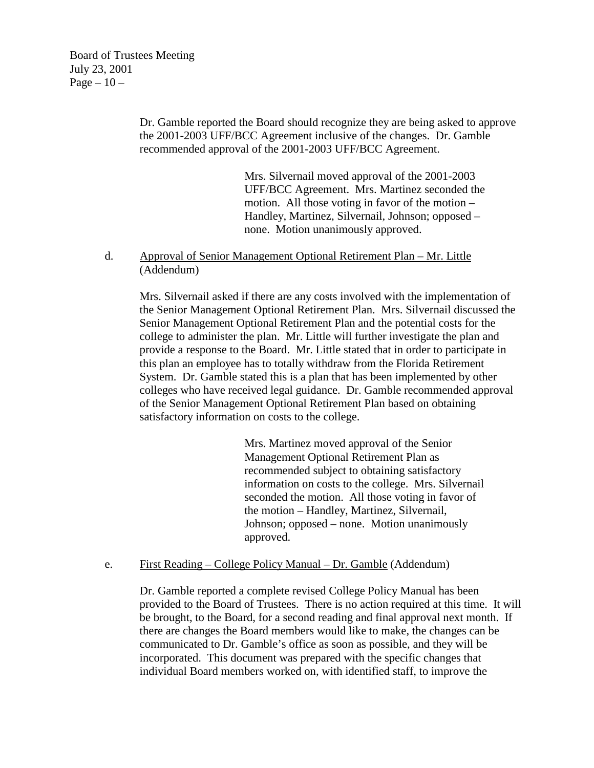Dr. Gamble reported the Board should recognize they are being asked to approve the 2001-2003 UFF/BCC Agreement inclusive of the changes. Dr. Gamble recommended approval of the 2001-2003 UFF/BCC Agreement.

> Mrs. Silvernail moved approval of the 2001-2003 UFF/BCC Agreement. Mrs. Martinez seconded the motion. All those voting in favor of the motion – Handley, Martinez, Silvernail, Johnson; opposed – none. Motion unanimously approved.

d. Approval of Senior Management Optional Retirement Plan – Mr. Little (Addendum)

Mrs. Silvernail asked if there are any costs involved with the implementation of the Senior Management Optional Retirement Plan. Mrs. Silvernail discussed the Senior Management Optional Retirement Plan and the potential costs for the college to administer the plan. Mr. Little will further investigate the plan and provide a response to the Board. Mr. Little stated that in order to participate in this plan an employee has to totally withdraw from the Florida Retirement System. Dr. Gamble stated this is a plan that has been implemented by other colleges who have received legal guidance. Dr. Gamble recommended approval of the Senior Management Optional Retirement Plan based on obtaining satisfactory information on costs to the college.

> Mrs. Martinez moved approval of the Senior Management Optional Retirement Plan as recommended subject to obtaining satisfactory information on costs to the college. Mrs. Silvernail seconded the motion. All those voting in favor of the motion – Handley, Martinez, Silvernail, Johnson; opposed – none. Motion unanimously approved.

#### e. First Reading – College Policy Manual – Dr. Gamble (Addendum)

 Dr. Gamble reported a complete revised College Policy Manual has been provided to the Board of Trustees. There is no action required at this time. It will be brought, to the Board, for a second reading and final approval next month. If there are changes the Board members would like to make, the changes can be communicated to Dr. Gamble's office as soon as possible, and they will be incorporated. This document was prepared with the specific changes that individual Board members worked on, with identified staff, to improve the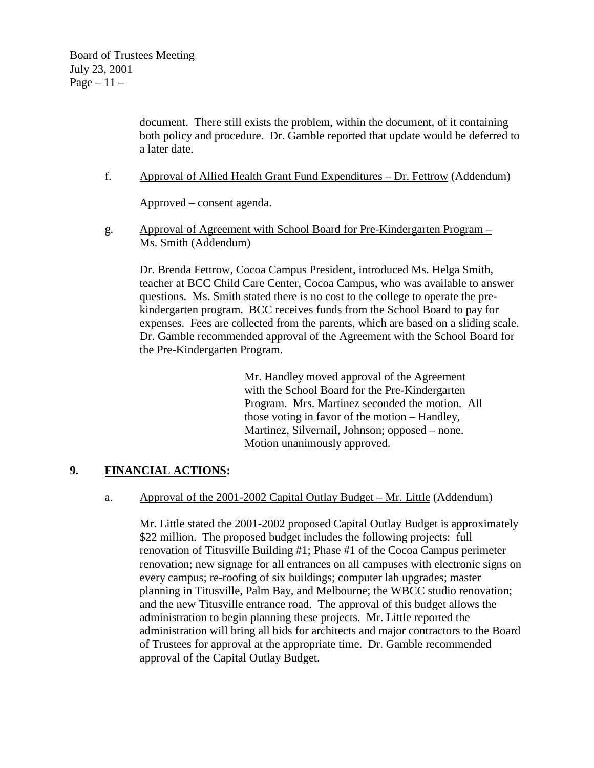document. There still exists the problem, within the document, of it containing both policy and procedure. Dr. Gamble reported that update would be deferred to a later date.

f. Approval of Allied Health Grant Fund Expenditures – Dr. Fettrow (Addendum)

Approved – consent agenda.

g. Approval of Agreement with School Board for Pre-Kindergarten Program – Ms. Smith (Addendum)

Dr. Brenda Fettrow, Cocoa Campus President, introduced Ms. Helga Smith, teacher at BCC Child Care Center, Cocoa Campus, who was available to answer questions. Ms. Smith stated there is no cost to the college to operate the prekindergarten program. BCC receives funds from the School Board to pay for expenses. Fees are collected from the parents, which are based on a sliding scale. Dr. Gamble recommended approval of the Agreement with the School Board for the Pre-Kindergarten Program.

> Mr. Handley moved approval of the Agreement with the School Board for the Pre-Kindergarten Program. Mrs. Martinez seconded the motion. All those voting in favor of the motion – Handley, Martinez, Silvernail, Johnson; opposed – none. Motion unanimously approved.

#### **9. FINANCIAL ACTIONS:**

a. Approval of the 2001-2002 Capital Outlay Budget – Mr. Little (Addendum)

Mr. Little stated the 2001-2002 proposed Capital Outlay Budget is approximately \$22 million. The proposed budget includes the following projects: full renovation of Titusville Building #1; Phase #1 of the Cocoa Campus perimeter renovation; new signage for all entrances on all campuses with electronic signs on every campus; re-roofing of six buildings; computer lab upgrades; master planning in Titusville, Palm Bay, and Melbourne; the WBCC studio renovation; and the new Titusville entrance road. The approval of this budget allows the administration to begin planning these projects. Mr. Little reported the administration will bring all bids for architects and major contractors to the Board of Trustees for approval at the appropriate time. Dr. Gamble recommended approval of the Capital Outlay Budget.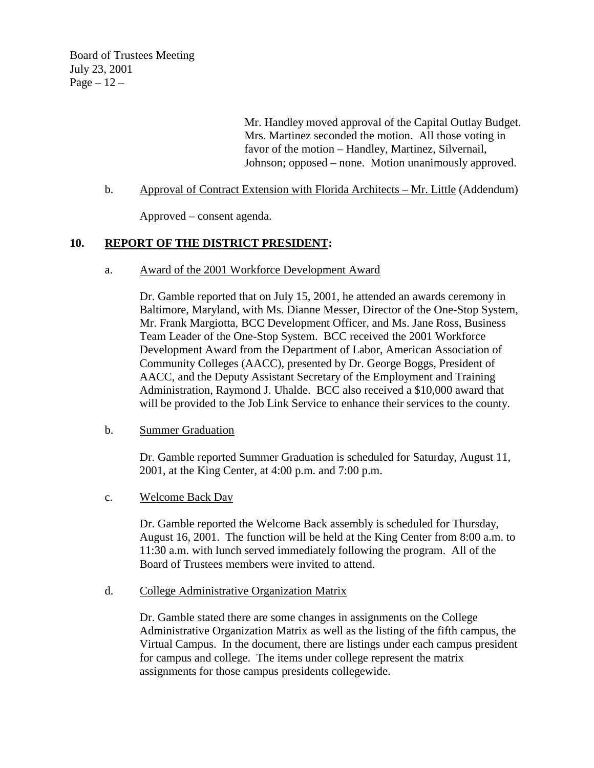Board of Trustees Meeting July 23, 2001 Page  $-12-$ 

> Mr. Handley moved approval of the Capital Outlay Budget. Mrs. Martinez seconded the motion. All those voting in favor of the motion – Handley, Martinez, Silvernail, Johnson; opposed – none. Motion unanimously approved.

b. Approval of Contract Extension with Florida Architects – Mr. Little (Addendum)

Approved – consent agenda.

#### **10. REPORT OF THE DISTRICT PRESIDENT:**

a. Award of the 2001 Workforce Development Award

Dr. Gamble reported that on July 15, 2001, he attended an awards ceremony in Baltimore, Maryland, with Ms. Dianne Messer, Director of the One-Stop System, Mr. Frank Margiotta, BCC Development Officer, and Ms. Jane Ross, Business Team Leader of the One-Stop System. BCC received the 2001 Workforce Development Award from the Department of Labor, American Association of Community Colleges (AACC), presented by Dr. George Boggs, President of AACC, and the Deputy Assistant Secretary of the Employment and Training Administration, Raymond J. Uhalde. BCC also received a \$10,000 award that will be provided to the Job Link Service to enhance their services to the county.

#### b. Summer Graduation

 Dr. Gamble reported Summer Graduation is scheduled for Saturday, August 11, 2001, at the King Center, at 4:00 p.m. and 7:00 p.m.

c. Welcome Back Day

 Dr. Gamble reported the Welcome Back assembly is scheduled for Thursday, August 16, 2001. The function will be held at the King Center from 8:00 a.m. to 11:30 a.m. with lunch served immediately following the program. All of the Board of Trustees members were invited to attend.

d. College Administrative Organization Matrix

Dr. Gamble stated there are some changes in assignments on the College Administrative Organization Matrix as well as the listing of the fifth campus, the Virtual Campus. In the document, there are listings under each campus president for campus and college. The items under college represent the matrix assignments for those campus presidents collegewide.